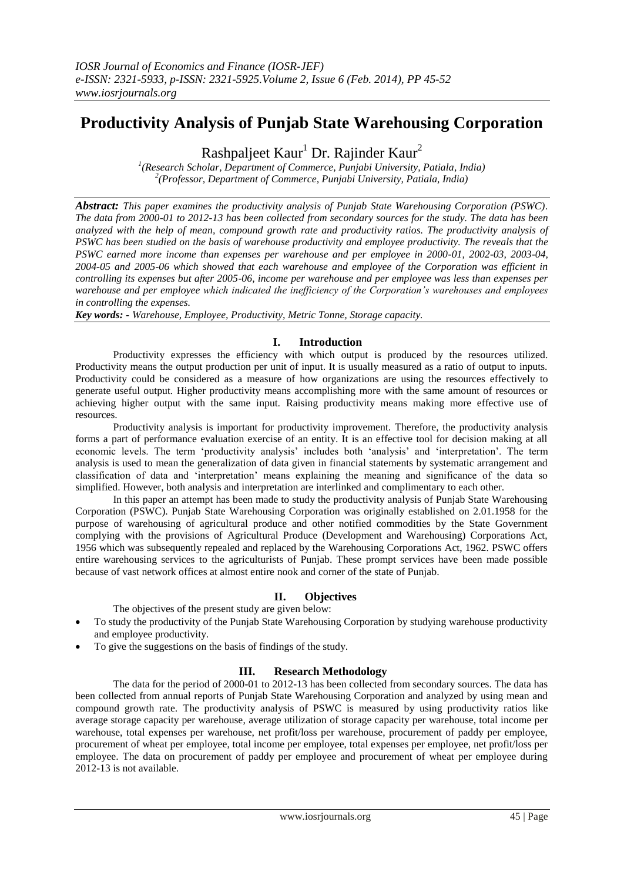# **Productivity Analysis of Punjab State Warehousing Corporation**

Rashpaljeet Kaur<sup>1</sup> Dr. Rajinder Kaur<sup>2</sup>

*1 (Research Scholar, Department of Commerce, Punjabi University, Patiala, India) 2 (Professor, Department of Commerce, Punjabi University, Patiala, India)*

*Abstract: This paper examines the productivity analysis of Punjab State Warehousing Corporation (PSWC). The data from 2000-01 to 2012-13 has been collected from secondary sources for the study. The data has been analyzed with the help of mean, compound growth rate and productivity ratios. The productivity analysis of PSWC has been studied on the basis of warehouse productivity and employee productivity. The reveals that the PSWC earned more income than expenses per warehouse and per employee in 2000-01, 2002-03, 2003-04, 2004-05 and 2005-06 which showed that each warehouse and employee of the Corporation was efficient in controlling its expenses but after 2005-06, income per warehouse and per employee was less than expenses per warehouse and per employee which indicated the inefficiency of the Corporation's warehouses and employees in controlling the expenses.*

*Key words: - Warehouse, Employee, Productivity, Metric Tonne, Storage capacity.*

### **I. Introduction**

Productivity expresses the efficiency with which output is produced by the resources utilized. Productivity means the output production per unit of input. It is usually measured as a ratio of output to inputs. Productivity could be considered as a measure of how organizations are using the resources effectively to generate useful output. Higher productivity means accomplishing more with the same amount of resources or achieving higher output with the same input. Raising productivity means making more effective use of resources.

Productivity analysis is important for productivity improvement. Therefore, the productivity analysis forms a part of performance evaluation exercise of an entity. It is an effective tool for decision making at all economic levels. The term 'productivity analysis' includes both 'analysis' and 'interpretation'. The term analysis is used to mean the generalization of data given in financial statements by systematic arrangement and classification of data and 'interpretation' means explaining the meaning and significance of the data so simplified. However, both analysis and interpretation are interlinked and complimentary to each other.

In this paper an attempt has been made to study the productivity analysis of Punjab State Warehousing Corporation (PSWC). Punjab State Warehousing Corporation was originally established on 2.01.1958 for the purpose of warehousing of agricultural produce and other notified commodities by the State Government complying with the provisions of Agricultural Produce (Development and Warehousing) Corporations Act, 1956 which was subsequently repealed and replaced by the Warehousing Corporations Act, 1962. PSWC offers entire warehousing services to the agriculturists of Punjab. These prompt services have been made possible because of vast network offices at almost entire nook and corner of the state of Punjab.

# **II. Objectives**

The objectives of the present study are given below:

- To study the productivity of the Punjab State Warehousing Corporation by studying warehouse productivity and employee productivity.
- To give the suggestions on the basis of findings of the study.

### **III. Research Methodology**

The data for the period of 2000-01 to 2012-13 has been collected from secondary sources. The data has been collected from annual reports of Punjab State Warehousing Corporation and analyzed by using mean and compound growth rate. The productivity analysis of PSWC is measured by using productivity ratios like average storage capacity per warehouse, average utilization of storage capacity per warehouse, total income per warehouse, total expenses per warehouse, net profit/loss per warehouse, procurement of paddy per employee, procurement of wheat per employee, total income per employee, total expenses per employee, net profit/loss per employee. The data on procurement of paddy per employee and procurement of wheat per employee during 2012-13 is not available.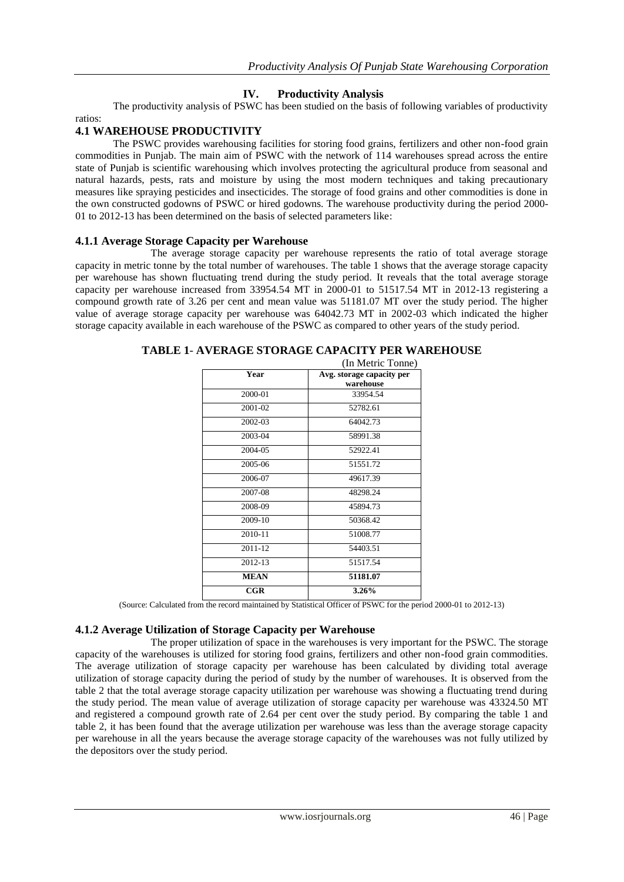# **IV. Productivity Analysis**

The productivity analysis of PSWC has been studied on the basis of following variables of productivity ratios:

### **4.1 WAREHOUSE PRODUCTIVITY**

The PSWC provides warehousing facilities for storing food grains, fertilizers and other non-food grain commodities in Punjab. The main aim of PSWC with the network of 114 warehouses spread across the entire state of Punjab is scientific warehousing which involves protecting the agricultural produce from seasonal and natural hazards, pests, rats and moisture by using the most modern techniques and taking precautionary measures like spraying pesticides and insecticides. The storage of food grains and other commodities is done in the own constructed godowns of PSWC or hired godowns. The warehouse productivity during the period 2000- 01 to 2012-13 has been determined on the basis of selected parameters like:

#### **4.1.1 Average Storage Capacity per Warehouse**

The average storage capacity per warehouse represents the ratio of total average storage capacity in metric tonne by the total number of warehouses. The table 1 shows that the average storage capacity per warehouse has shown fluctuating trend during the study period. It reveals that the total average storage capacity per warehouse increased from 33954.54 MT in 2000-01 to 51517.54 MT in 2012-13 registering a compound growth rate of 3.26 per cent and mean value was 51181.07 MT over the study period. The higher value of average storage capacity per warehouse was 64042.73 MT in 2002-03 which indicated the higher storage capacity available in each warehouse of the PSWC as compared to other years of the study period.

|              | (In Metric Tonne)         |
|--------------|---------------------------|
| Year         | Avg. storage capacity per |
|              | warehouse                 |
| 2000-01      | 33954.54                  |
| 2001-02      | 52782.61                  |
| 2002-03      | 64042.73                  |
| 2003-04      | 58991.38                  |
| 2004-05      | 52922.41                  |
| 2005-06      | 51551.72                  |
| 2006-07      | 49617.39                  |
| 2007-08      | 48298.24                  |
| 2008-09      | 45894.73                  |
| 2009-10      | 50368.42                  |
| 2010-11      | 51008.77                  |
| 2011-12      | 54403.51                  |
| 2012-13      | 51517.54                  |
| <b>MEAN</b>  | 51181.07                  |
| $_{\rm CGR}$ | 3.26%                     |

#### **TABLE 1**- **AVERAGE STORAGE CAPACITY PER WAREHOUSE**

(Source: Calculated from the record maintained by Statistical Officer of PSWC for the period 2000-01 to 2012-13)

### **4.1.2 Average Utilization of Storage Capacity per Warehouse**

The proper utilization of space in the warehouses is very important for the PSWC. The storage capacity of the warehouses is utilized for storing food grains, fertilizers and other non-food grain commodities. The average utilization of storage capacity per warehouse has been calculated by dividing total average utilization of storage capacity during the period of study by the number of warehouses. It is observed from the table 2 that the total average storage capacity utilization per warehouse was showing a fluctuating trend during the study period. The mean value of average utilization of storage capacity per warehouse was 43324.50 MT and registered a compound growth rate of 2.64 per cent over the study period. By comparing the table 1 and table 2, it has been found that the average utilization per warehouse was less than the average storage capacity per warehouse in all the years because the average storage capacity of the warehouses was not fully utilized by the depositors over the study period.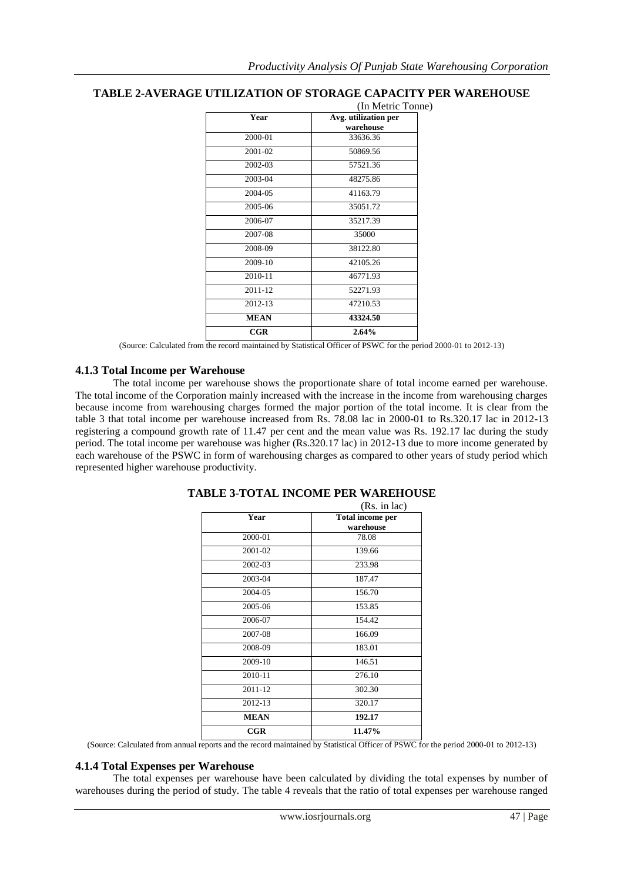# **TABLE 2**-**AVERAGE UTILIZATION OF STORAGE CAPACITY PER WAREHOUSE**

|              | (In Metric Tonne)                 |
|--------------|-----------------------------------|
| Year         | Avg. utilization per<br>warehouse |
| 2000-01      | 33636.36                          |
| 2001-02      | 50869.56                          |
| 2002-03      | 57521.36                          |
| 2003-04      | 48275.86                          |
| 2004-05      | 41163.79                          |
| 2005-06      | 35051.72                          |
| 2006-07      | 35217.39                          |
| 2007-08      | 35000                             |
| 2008-09      | 38122.80                          |
| 2009-10      | 42105.26                          |
| 2010-11      | 46771.93                          |
| 2011-12      | 52271.93                          |
| 2012-13      | 47210.53                          |
| <b>MEAN</b>  | 43324.50                          |
| $_{\rm CGR}$ | 2.64%                             |

(Source: Calculated from the record maintained by Statistical Officer of PSWC for the period 2000-01 to 2012-13)

#### **4.1.3 Total Income per Warehouse**

The total income per warehouse shows the proportionate share of total income earned per warehouse. The total income of the Corporation mainly increased with the increase in the income from warehousing charges because income from warehousing charges formed the major portion of the total income. It is clear from the table 3 that total income per warehouse increased from Rs. 78.08 lac in 2000-01 to Rs.320.17 lac in 2012-13 registering a compound growth rate of 11.47 per cent and the mean value was Rs. 192.17 lac during the study period. The total income per warehouse was higher (Rs.320.17 lac) in 2012-13 due to more income generated by each warehouse of the PSWC in form of warehousing charges as compared to other years of study period which represented higher warehouse productivity.

|              | (Rs. in lac)                  |
|--------------|-------------------------------|
| Year         | Total income per<br>warehouse |
| 2000-01      | 78.08                         |
| 2001-02      | 139.66                        |
| 2002-03      | 233.98                        |
| 2003-04      | 187.47                        |
| 2004-05      | 156.70                        |
| 2005-06      | 153.85                        |
| 2006-07      | 154.42                        |
| 2007-08      | 166.09                        |
| 2008-09      | 183.01                        |
| 2009-10      | 146.51                        |
| 2010-11      | 276.10                        |
| $2011 - 12$  | 302.30                        |
| 2012-13      | 320.17                        |
| <b>MEAN</b>  | 192.17                        |
| $_{\rm CGR}$ | 11.47%                        |

#### **TABLE 3**-**TOTAL INCOME PER WAREHOUSE**

(Source: Calculated from annual reports and the record maintained by Statistical Officer of PSWC for the period 2000-01 to 2012-13)

#### **4.1.4 Total Expenses per Warehouse**

The total expenses per warehouse have been calculated by dividing the total expenses by number of warehouses during the period of study. The table 4 reveals that the ratio of total expenses per warehouse ranged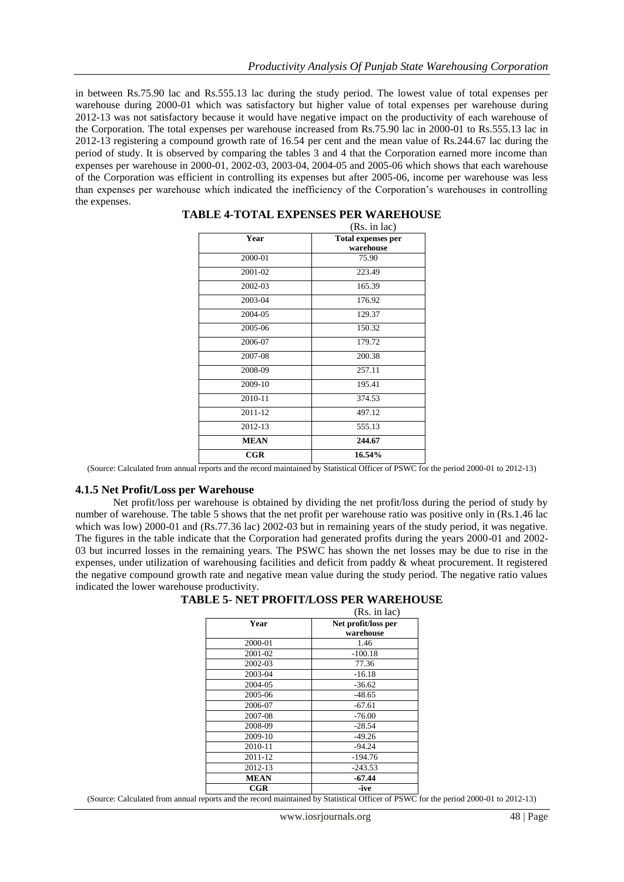in between Rs.75.90 lac and Rs.555.13 lac during the study period. The lowest value of total expenses per warehouse during 2000-01 which was satisfactory but higher value of total expenses per warehouse during 2012-13 was not satisfactory because it would have negative impact on the productivity of each warehouse of the Corporation. The total expenses per warehouse increased from Rs.75.90 lac in 2000-01 to Rs.555.13 lac in 2012-13 registering a compound growth rate of 16.54 per cent and the mean value of Rs.244.67 lac during the period of study. It is observed by comparing the tables 3 and 4 that the Corporation earned more income than expenses per warehouse in 2000-01, 2002-03, 2003-04, 2004-05 and 2005-06 which shows that each warehouse of the Corporation was efficient in controlling its expenses but after 2005-06, income per warehouse was less than expenses per warehouse which indicated the inefficiency of the Corporation's warehouses in controlling the expenses.

|              | (Rs. in lac)                           |
|--------------|----------------------------------------|
| Year         | <b>Total expenses per</b><br>warehouse |
| 2000-01      | 75.90                                  |
| 2001-02      | 223.49                                 |
| 2002-03      | 165.39                                 |
| 2003-04      | 176.92                                 |
| 2004-05      | 129.37                                 |
| 2005-06      | 150.32                                 |
| 2006-07      | 179.72                                 |
| 2007-08      | 200.38                                 |
| 2008-09      | 257.11                                 |
| 2009-10      | 195.41                                 |
| 2010-11      | 374.53                                 |
| 2011-12      | 497.12                                 |
| 2012-13      | 555.13                                 |
| <b>MEAN</b>  | 244.67                                 |
| $_{\rm CGR}$ | 16.54%                                 |

#### **TABLE 4-TOTAL EXPENSES PER WAREHOUSE**

(Source: Calculated from annual reports and the record maintained by Statistical Officer of PSWC for the period 2000-01 to 2012-13)

#### **4.1.5 Net Profit/Loss per Warehouse**

Net profit/loss per warehouse is obtained by dividing the net profit/loss during the period of study by number of warehouse. The table 5 shows that the net profit per warehouse ratio was positive only in (Rs.1.46 lac which was low) 2000-01 and (Rs.77.36 lac) 2002-03 but in remaining years of the study period, it was negative. The figures in the table indicate that the Corporation had generated profits during the years 2000-01 and 2002- 03 but incurred losses in the remaining years. The PSWC has shown the net losses may be due to rise in the expenses, under utilization of warehousing facilities and deficit from paddy & wheat procurement. It registered the negative compound growth rate and negative mean value during the study period. The negative ratio values indicated the lower warehouse productivity.

| <b>TABLE 5- NET PROFIT/LOSS PER WAREHOUSE</b> |  |  |  |
|-----------------------------------------------|--|--|--|
|-----------------------------------------------|--|--|--|

|              | (Rs. in lac)        |
|--------------|---------------------|
| Year         | Net profit/loss per |
|              | warehouse           |
| 2000-01      | 1.46                |
| 2001-02      | $-100.18$           |
| 2002-03      | 77.36               |
| 2003-04      | $-16.18$            |
| 2004-05      | $-36.62$            |
| 2005-06      | $-48.65$            |
| 2006-07      | $-67.61$            |
| 2007-08      | $-76.00$            |
| 2008-09      | $-28.54$            |
| 2009-10      | $-49.26$            |
| 2010-11      | $-94.24$            |
| 2011-12      | $-194.76$           |
| 2012-13      | $-243.53$           |
| <b>MEAN</b>  | $-67.44$            |
| $_{\rm CGR}$ | -ive                |

(Source: Calculated from annual reports and the record maintained by Statistical Officer of PSWC for the period 2000-01 to 2012-13)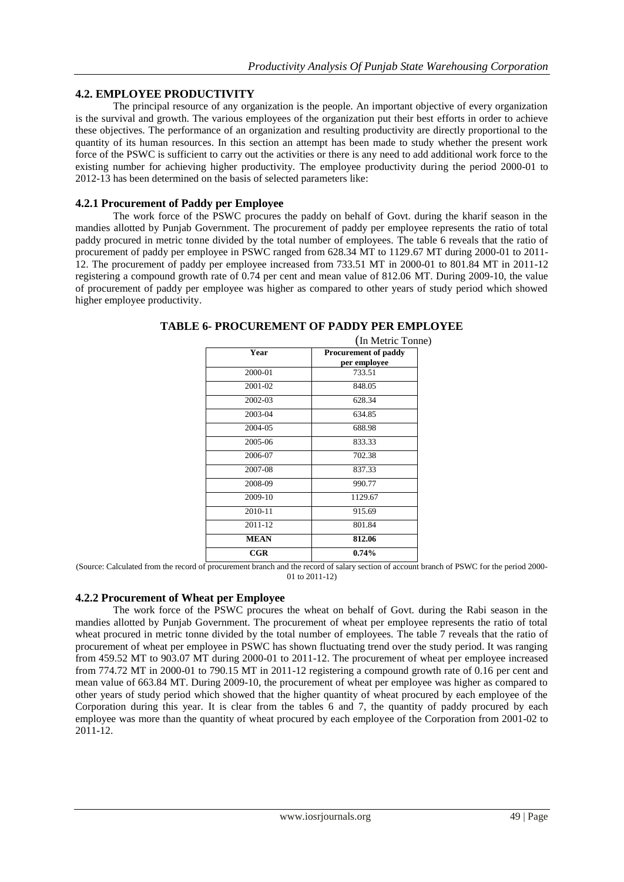### **4.2. EMPLOYEE PRODUCTIVITY**

The principal resource of any organization is the people. An important objective of every organization is the survival and growth. The various employees of the organization put their best efforts in order to achieve these objectives. The performance of an organization and resulting productivity are directly proportional to the quantity of its human resources. In this section an attempt has been made to study whether the present work force of the PSWC is sufficient to carry out the activities or there is any need to add additional work force to the existing number for achieving higher productivity. The employee productivity during the period 2000-01 to 2012-13 has been determined on the basis of selected parameters like:

### **4.2.1 Procurement of Paddy per Employee**

The work force of the PSWC procures the paddy on behalf of Govt. during the kharif season in the mandies allotted by Punjab Government. The procurement of paddy per employee represents the ratio of total paddy procured in metric tonne divided by the total number of employees. The table 6 reveals that the ratio of procurement of paddy per employee in PSWC ranged from 628.34 MT to 1129.67 MT during 2000-01 to 2011- 12. The procurement of paddy per employee increased from 733.51 MT in 2000-01 to 801.84 MT in 2011-12 registering a compound growth rate of 0.74 per cent and mean value of 812.06 MT. During 2009-10, the value of procurement of paddy per employee was higher as compared to other years of study period which showed higher employee productivity.

|              | (In Metric Tonne)                           |
|--------------|---------------------------------------------|
| Year         | <b>Procurement of paddy</b><br>per employee |
| 2000-01      | 733.51                                      |
| 2001-02      | 848.05                                      |
| 2002-03      | 628.34                                      |
| 2003-04      | 634.85                                      |
| 2004-05      | 688.98                                      |
| 2005-06      | 833.33                                      |
| 2006-07      | 702.38                                      |
| 2007-08      | 837.33                                      |
| 2008-09      | 990.77                                      |
| 2009-10      | 1129.67                                     |
| 2010-11      | 915.69                                      |
| 2011-12      | 801.84                                      |
| <b>MEAN</b>  | 812.06                                      |
| $_{\rm CGR}$ | 0.74%                                       |

### **TABLE 6- PROCUREMENT OF PADDY PER EMPLOYEE**

(Source: Calculated from the record of procurement branch and the record of salary section of account branch of PSWC for the period 2000- 01 to 2011-12)

### **4.2.2 Procurement of Wheat per Employee**

The work force of the PSWC procures the wheat on behalf of Govt. during the Rabi season in the mandies allotted by Punjab Government. The procurement of wheat per employee represents the ratio of total wheat procured in metric tonne divided by the total number of employees. The table 7 reveals that the ratio of procurement of wheat per employee in PSWC has shown fluctuating trend over the study period. It was ranging from 459.52 MT to 903.07 MT during 2000-01 to 2011-12. The procurement of wheat per employee increased from 774.72 MT in 2000-01 to 790.15 MT in 2011-12 registering a compound growth rate of 0.16 per cent and mean value of 663.84 MT. During 2009-10, the procurement of wheat per employee was higher as compared to other years of study period which showed that the higher quantity of wheat procured by each employee of the Corporation during this year. It is clear from the tables 6 and 7, the quantity of paddy procured by each employee was more than the quantity of wheat procured by each employee of the Corporation from 2001-02 to 2011-12.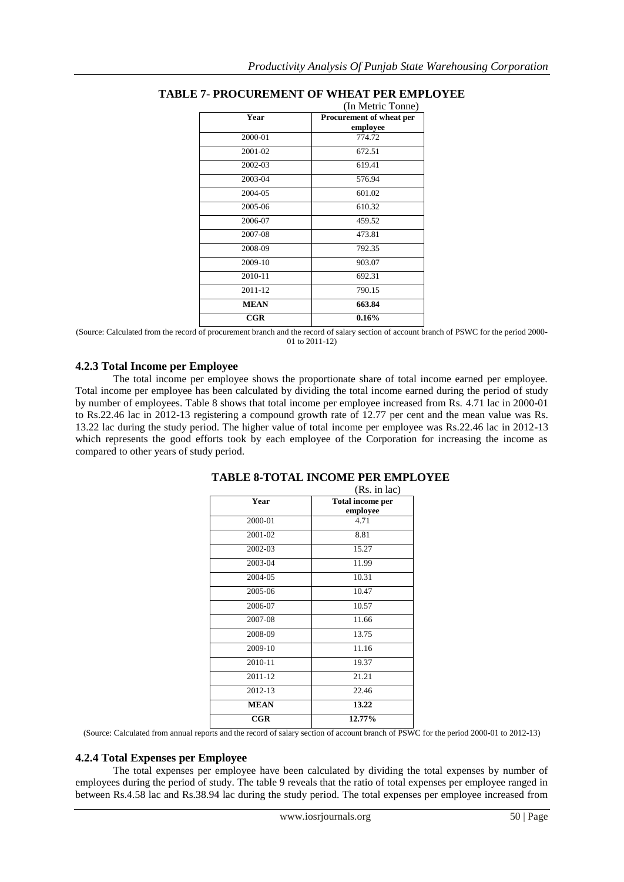|              | (In Metric Tonne)                           |
|--------------|---------------------------------------------|
| Year         | <b>Procurement of wheat per</b><br>employee |
| 2000-01      | 774.72                                      |
| 2001-02      | 672.51                                      |
| 2002-03      | 619.41                                      |
| 2003-04      | 576.94                                      |
| 2004-05      | 601.02                                      |
| 2005-06      | 610.32                                      |
| 2006-07      | 459.52                                      |
| 2007-08      | 473.81                                      |
| 2008-09      | 792.35                                      |
| 2009-10      | 903.07                                      |
| 2010-11      | 692.31                                      |
| 2011-12      | 790.15                                      |
| <b>MEAN</b>  | 663.84                                      |
| $_{\rm CGR}$ | $0.16\%$                                    |

# **TABLE 7- PROCUREMENT OF WHEAT PER EMPLOYEE**

(Source: Calculated from the record of procurement branch and the record of salary section of account branch of PSWC for the period 2000- 01 to 2011-12)

### **4.2.3 Total Income per Employee**

The total income per employee shows the proportionate share of total income earned per employee. Total income per employee has been calculated by dividing the total income earned during the period of study by number of employees. Table 8 shows that total income per employee increased from Rs. 4.71 lac in 2000-01 to Rs.22.46 lac in 2012-13 registering a compound growth rate of 12.77 per cent and the mean value was Rs. 13.22 lac during the study period. The higher value of total income per employee was Rs.22.46 lac in 2012-13 which represents the good efforts took by each employee of the Corporation for increasing the income as compared to other years of study period.

|             | (Rs. in lac)                        |
|-------------|-------------------------------------|
| Year        | <b>Total income per</b><br>employee |
| 2000-01     | 4.71                                |
| 2001-02     | 8.81                                |
| 2002-03     | 15.27                               |
| 2003-04     | 11.99                               |
| 2004-05     | 10.31                               |
| 2005-06     | 10.47                               |
| 2006-07     | 10.57                               |
| 2007-08     | 11.66                               |
| 2008-09     | 13.75                               |
| 2009-10     | 11.16                               |
| 2010-11     | 19.37                               |
| 2011-12     | 21.21                               |
| 2012-13     | 22.46                               |
| <b>MEAN</b> | 13.22                               |
| CGR         | 12.77%                              |

# **TABLE 8-TOTAL INCOME PER EMPLOYEE**

(Source: Calculated from annual reports and the record of salary section of account branch of PSWC for the period 2000-01 to 2012-13)

### **4.2.4 Total Expenses per Employee**

The total expenses per employee have been calculated by dividing the total expenses by number of employees during the period of study. The table 9 reveals that the ratio of total expenses per employee ranged in between Rs.4.58 lac and Rs.38.94 lac during the study period. The total expenses per employee increased from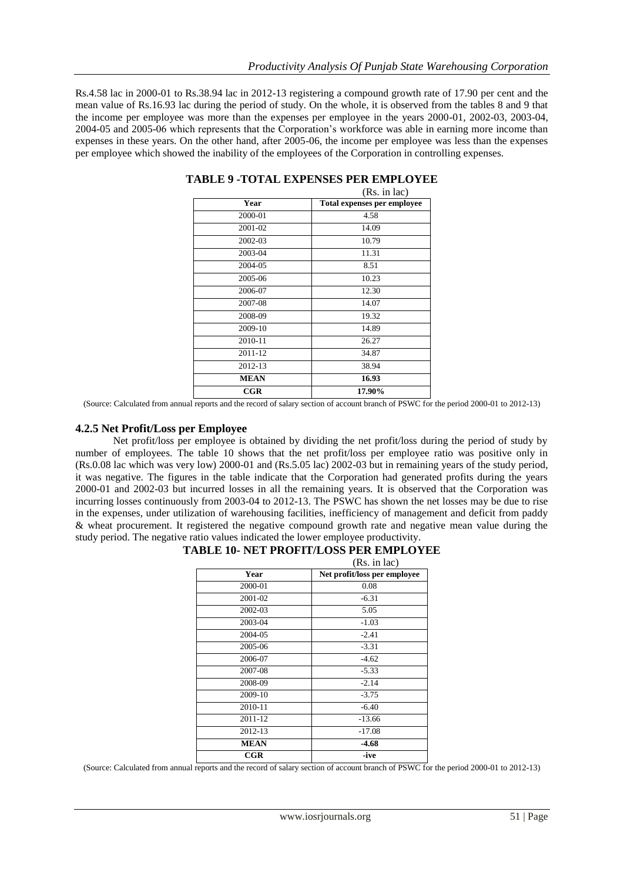Rs.4.58 lac in 2000-01 to Rs.38.94 lac in 2012-13 registering a compound growth rate of 17.90 per cent and the mean value of Rs.16.93 lac during the period of study. On the whole, it is observed from the tables 8 and 9 that the income per employee was more than the expenses per employee in the years 2000-01, 2002-03, 2003-04, 2004-05 and 2005-06 which represents that the Corporation's workforce was able in earning more income than expenses in these years. On the other hand, after 2005-06, the income per employee was less than the expenses per employee which showed the inability of the employees of the Corporation in controlling expenses.

|              | (Rs. in lac)                |
|--------------|-----------------------------|
| Year         | Total expenses per employee |
| 2000-01      | 4.58                        |
| 2001-02      | 14.09                       |
| 2002-03      | 10.79                       |
| 2003-04      | 11.31                       |
| 2004-05      | 8.51                        |
| 2005-06      | 10.23                       |
| 2006-07      | 12.30                       |
| 2007-08      | 14.07                       |
| 2008-09      | 19.32                       |
| 2009-10      | 14.89                       |
| 2010-11      | 26.27                       |
| 2011-12      | 34.87                       |
| 2012-13      | 38.94                       |
| <b>MEAN</b>  | 16.93                       |
| $_{\rm CGR}$ | 17.90%                      |

(Source: Calculated from annual reports and the record of salary section of account branch of PSWC for the period 2000-01 to 2012-13)

#### **4.2.5 Net Profit/Loss per Employee**

Net profit/loss per employee is obtained by dividing the net profit/loss during the period of study by number of employees. The table 10 shows that the net profit/loss per employee ratio was positive only in (Rs.0.08 lac which was very low) 2000-01 and (Rs.5.05 lac) 2002-03 but in remaining years of the study period, it was negative. The figures in the table indicate that the Corporation had generated profits during the years 2000-01 and 2002-03 but incurred losses in all the remaining years. It is observed that the Corporation was incurring losses continuously from 2003-04 to 2012-13. The PSWC has shown the net losses may be due to rise in the expenses, under utilization of warehousing facilities, inefficiency of management and deficit from paddy & wheat procurement. It registered the negative compound growth rate and negative mean value during the study period. The negative ratio values indicated the lower employee productivity.

|              | (Rs. in lac)                 |
|--------------|------------------------------|
| Year         | Net profit/loss per employee |
| 2000-01      | 0.08                         |
| 2001-02      | $-6.31$                      |
| 2002-03      | 5.05                         |
| 2003-04      | $-1.03$                      |
| 2004-05      | $-2.41$                      |
| 2005-06      | $-3.31$                      |
| 2006-07      | $-4.62$                      |
| 2007-08      | $-5.33$                      |
| 2008-09      | $-2.14$                      |
| 2009-10      | $-3.75$                      |
| 2010-11      | $-6.40$                      |
| 2011-12      | $-13.66$                     |
| 2012-13      | $-17.08$                     |
| <b>MEAN</b>  | $-4.68$                      |
| $_{\rm CGR}$ | -ive                         |

# **TABLE 10- NET PROFIT/LOSS PER EMPLOYEE**

(Source: Calculated from annual reports and the record of salary section of account branch of PSWC for the period 2000-01 to 2012-13)